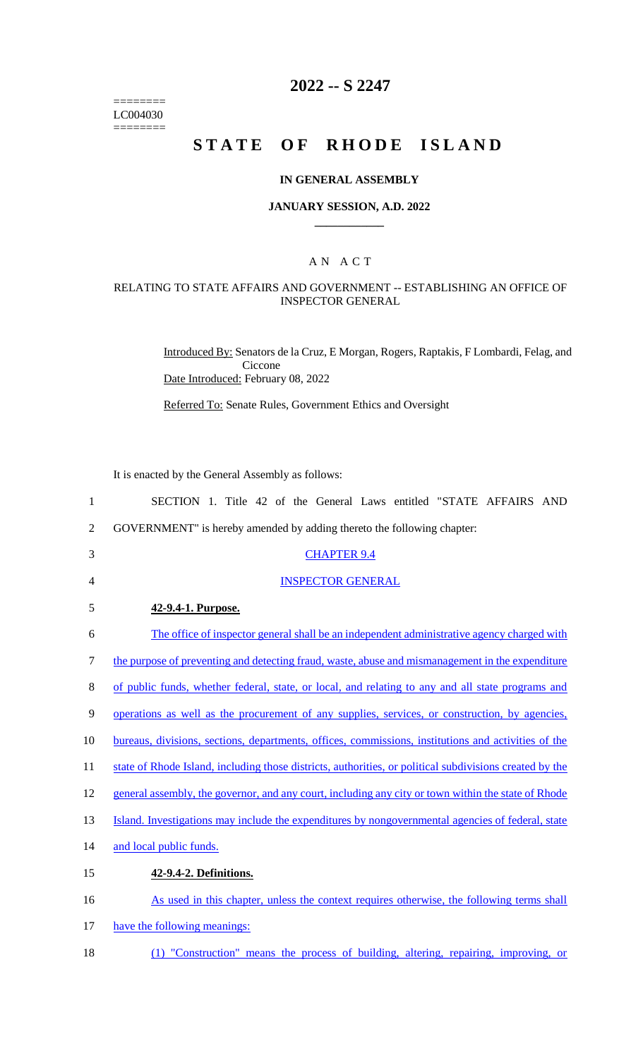======== LC004030  $=$ 

# **2022 -- S 2247**

# **STATE OF RHODE ISLAND**

#### **IN GENERAL ASSEMBLY**

#### **JANUARY SESSION, A.D. 2022 \_\_\_\_\_\_\_\_\_\_\_\_**

### A N A C T

## RELATING TO STATE AFFAIRS AND GOVERNMENT -- ESTABLISHING AN OFFICE OF INSPECTOR GENERAL

Introduced By: Senators de la Cruz, E Morgan, Rogers, Raptakis, F Lombardi, Felag, and Ciccone Date Introduced: February 08, 2022

Referred To: Senate Rules, Government Ethics and Oversight

It is enacted by the General Assembly as follows:

| $\mathbf{1}$   | SECTION 1. Title 42 of the General Laws entitled "STATE AFFAIRS AND                                     |
|----------------|---------------------------------------------------------------------------------------------------------|
| $\overline{2}$ | GOVERNMENT" is hereby amended by adding thereto the following chapter:                                  |
| 3              | <b>CHAPTER 9.4</b>                                                                                      |
| 4              | <b>INSPECTOR GENERAL</b>                                                                                |
| 5              | 42-9.4-1. Purpose.                                                                                      |
| 6              | The office of inspector general shall be an independent administrative agency charged with              |
| 7              | the purpose of preventing and detecting fraud, waste, abuse and mismanagement in the expenditure        |
| 8              | of public funds, whether federal, state, or local, and relating to any and all state programs and       |
| 9              | operations as well as the procurement of any supplies, services, or construction, by agencies,          |
| 10             | bureaus, divisions, sections, departments, offices, commissions, institutions and activities of the     |
| 11             | state of Rhode Island, including those districts, authorities, or political subdivisions created by the |
| 12             | general assembly, the governor, and any court, including any city or town within the state of Rhode     |
| 13             | Island. Investigations may include the expenditures by nongovernmental agencies of federal, state       |
| 14             | and local public funds.                                                                                 |
| 15             | 42-9.4-2. Definitions.                                                                                  |
| 16             | As used in this chapter, unless the context requires otherwise, the following terms shall               |
| 17             | have the following meanings:                                                                            |
|                |                                                                                                         |

18 (1) "Construction" means the process of building, altering, repairing, improving, or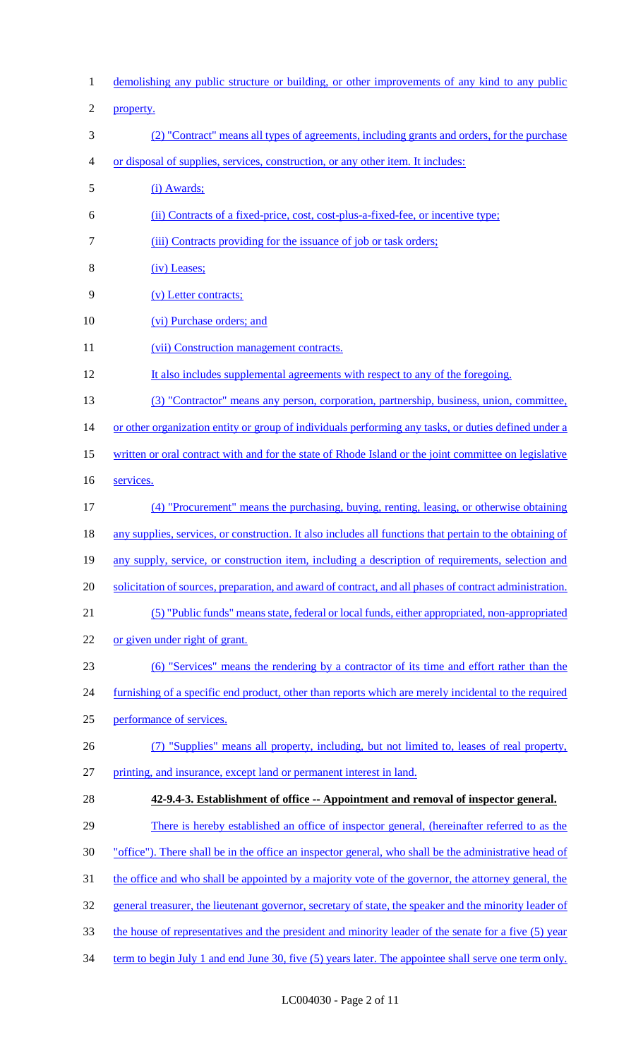demolishing any public structure or building, or other improvements of any kind to any public property. (2) "Contract" means all types of agreements, including grants and orders, for the purchase or disposal of supplies, services, construction, or any other item. It includes: (i) Awards; (ii) Contracts of a fixed-price, cost, cost-plus-a-fixed-fee, or incentive type; (iii) Contracts providing for the issuance of job or task orders; (iv) Leases; (v) Letter contracts; 10 (vi) Purchase orders; and 11 (vii) Construction management contracts. It also includes supplemental agreements with respect to any of the foregoing. (3) "Contractor" means any person, corporation, partnership, business, union, committee, 14 or other organization entity or group of individuals performing any tasks, or duties defined under a written or oral contract with and for the state of Rhode Island or the joint committee on legislative services. (4) "Procurement" means the purchasing, buying, renting, leasing, or otherwise obtaining 18 any supplies, services, or construction. It also includes all functions that pertain to the obtaining of any supply, service, or construction item, including a description of requirements, selection and 20 solicitation of sources, preparation, and award of contract, and all phases of contract administration. (5) "Public funds" means state, federal or local funds, either appropriated, non-appropriated or given under right of grant. (6) "Services" means the rendering by a contractor of its time and effort rather than the 24 furnishing of a specific end product, other than reports which are merely incidental to the required performance of services. (7) "Supplies" means all property, including, but not limited to, leases of real property, printing, and insurance, except land or permanent interest in land. **42-9.4-3. Establishment of office -- Appointment and removal of inspector general.** 29 There is hereby established an office of inspector general, (hereinafter referred to as the "office"). There shall be in the office an inspector general, who shall be the administrative head of the office and who shall be appointed by a majority vote of the governor, the attorney general, the 32 general treasurer, the lieutenant governor, secretary of state, the speaker and the minority leader of the house of representatives and the president and minority leader of the senate for a five (5) year 34 term to begin July 1 and end June 30, five (5) years later. The appointee shall serve one term only.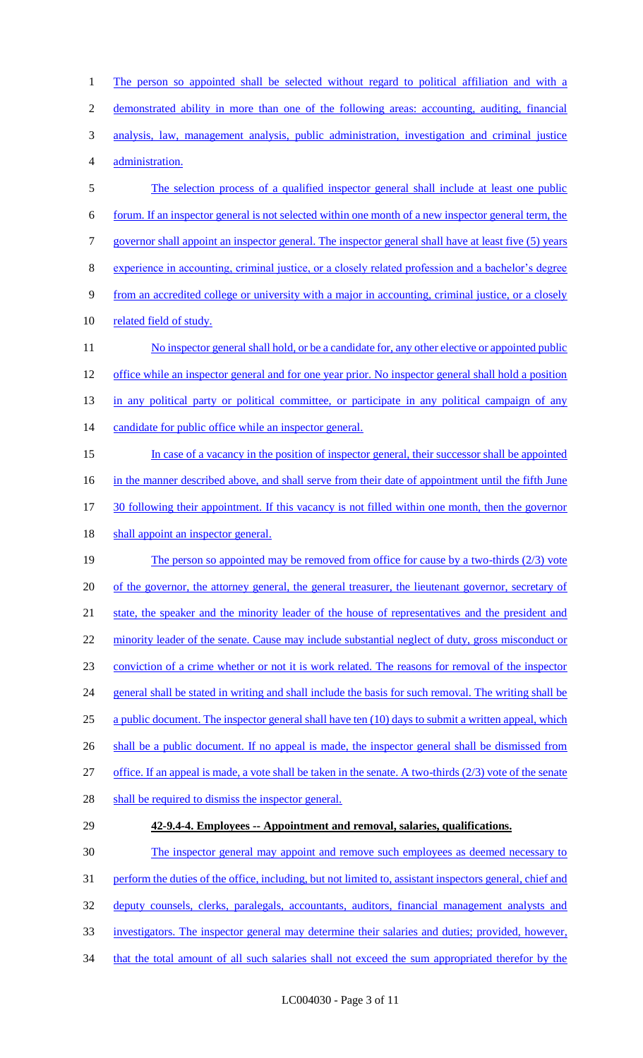2 demonstrated ability in more than one of the following areas: accounting, auditing, financial 3 analysis, law, management analysis, public administration, investigation and criminal justice 4 administration. 5 The selection process of a qualified inspector general shall include at least one public 6 forum. If an inspector general is not selected within one month of a new inspector general term, the 7 governor shall appoint an inspector general. The inspector general shall have at least five (5) years 8 experience in accounting, criminal justice, or a closely related profession and a bachelor's degree 9 from an accredited college or university with a major in accounting, criminal justice, or a closely 10 related field of study. 11 No inspector general shall hold, or be a candidate for, any other elective or appointed public 12 office while an inspector general and for one year prior. No inspector general shall hold a position 13 in any political party or political committee, or participate in any political campaign of any 14 candidate for public office while an inspector general. 15 In case of a vacancy in the position of inspector general, their successor shall be appointed 16 in the manner described above, and shall serve from their date of appointment until the fifth June 17 30 following their appointment. If this vacancy is not filled within one month, then the governor 18 shall appoint an inspector general. 19 The person so appointed may be removed from office for cause by a two-thirds (2/3) vote 20 of the governor, the attorney general, the general treasurer, the lieutenant governor, secretary of 21 state, the speaker and the minority leader of the house of representatives and the president and 22 minority leader of the senate. Cause may include substantial neglect of duty, gross misconduct or 23 conviction of a crime whether or not it is work related. The reasons for removal of the inspector 24 general shall be stated in writing and shall include the basis for such removal. The writing shall be 25 a public document. The inspector general shall have ten (10) days to submit a written appeal, which 26 shall be a public document. If no appeal is made, the inspector general shall be dismissed from 27 office. If an appeal is made, a vote shall be taken in the senate. A two-thirds (2/3) vote of the senate 28 shall be required to dismiss the inspector general. 29 **42-9.4-4. Employees -- Appointment and removal, salaries, qualifications.** 30 The inspector general may appoint and remove such employees as deemed necessary to 31 perform the duties of the office, including, but not limited to, assistant inspectors general, chief and 32 deputy counsels, clerks, paralegals, accountants, auditors, financial management analysts and

1 The person so appointed shall be selected without regard to political affiliation and with a

- 33 investigators. The inspector general may determine their salaries and duties; provided, however,
- 34 that the total amount of all such salaries shall not exceed the sum appropriated therefor by the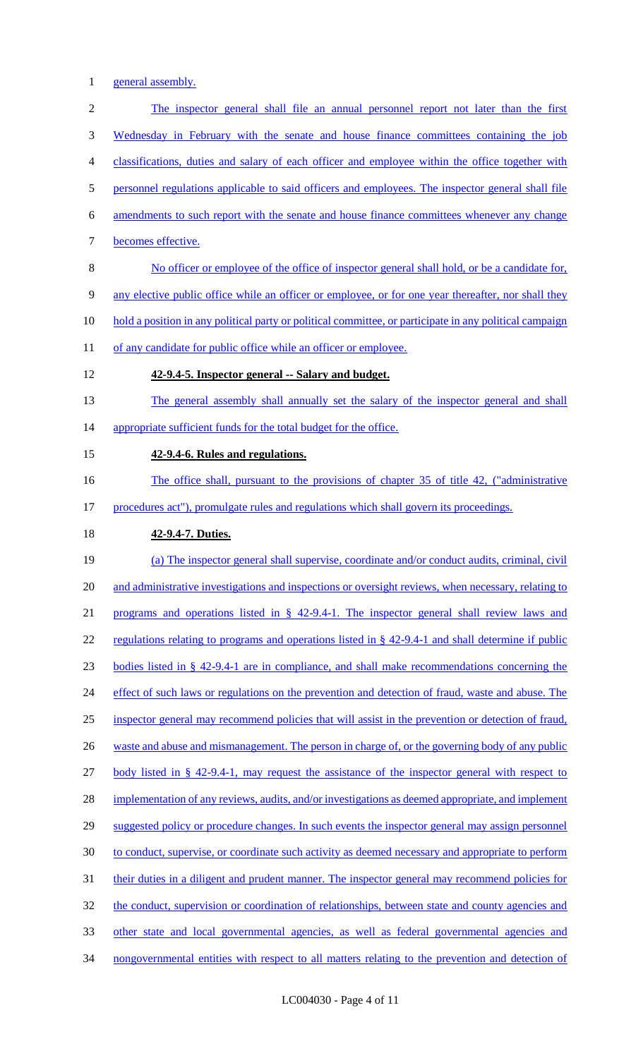1 general assembly.

2 The inspector general shall file an annual personnel report not later than the first 3 Wednesday in February with the senate and house finance committees containing the job 4 classifications, duties and salary of each officer and employee within the office together with 5 personnel regulations applicable to said officers and employees. The inspector general shall file 6 amendments to such report with the senate and house finance committees whenever any change 7 becomes effective. 8 No officer or employee of the office of inspector general shall hold, or be a candidate for, 9 any elective public office while an officer or employee, or for one year thereafter, nor shall they 10 hold a position in any political party or political committee, or participate in any political campaign 11 of any candidate for public office while an officer or employee. 12 **42-9.4-5. Inspector general -- Salary and budget.** 13 The general assembly shall annually set the salary of the inspector general and shall 14 appropriate sufficient funds for the total budget for the office. 15 **42-9.4-6. Rules and regulations.** 16 The office shall, pursuant to the provisions of chapter 35 of title 42, ("administrative 17 procedures act"), promulgate rules and regulations which shall govern its proceedings. 18 **42-9.4-7. Duties.** 19 (a) The inspector general shall supervise, coordinate and/or conduct audits, criminal, civil 20 and administrative investigations and inspections or oversight reviews, when necessary, relating to 21 programs and operations listed in § 42-9.4-1. The inspector general shall review laws and 22 regulations relating to programs and operations listed in § 42-9.4-1 and shall determine if public 23 bodies listed in § 42-9.4-1 are in compliance, and shall make recommendations concerning the 24 effect of such laws or regulations on the prevention and detection of fraud, waste and abuse. The 25 inspector general may recommend policies that will assist in the prevention or detection of fraud, 26 waste and abuse and mismanagement. The person in charge of, or the governing body of any public 27 body listed in § 42-9.4-1, may request the assistance of the inspector general with respect to 28 implementation of any reviews, audits, and/or investigations as deemed appropriate, and implement 29 suggested policy or procedure changes. In such events the inspector general may assign personnel 30 to conduct, supervise, or coordinate such activity as deemed necessary and appropriate to perform 31 their duties in a diligent and prudent manner. The inspector general may recommend policies for 32 the conduct, supervision or coordination of relationships, between state and county agencies and 33 other state and local governmental agencies, as well as federal governmental agencies and 34 nongovernmental entities with respect to all matters relating to the prevention and detection of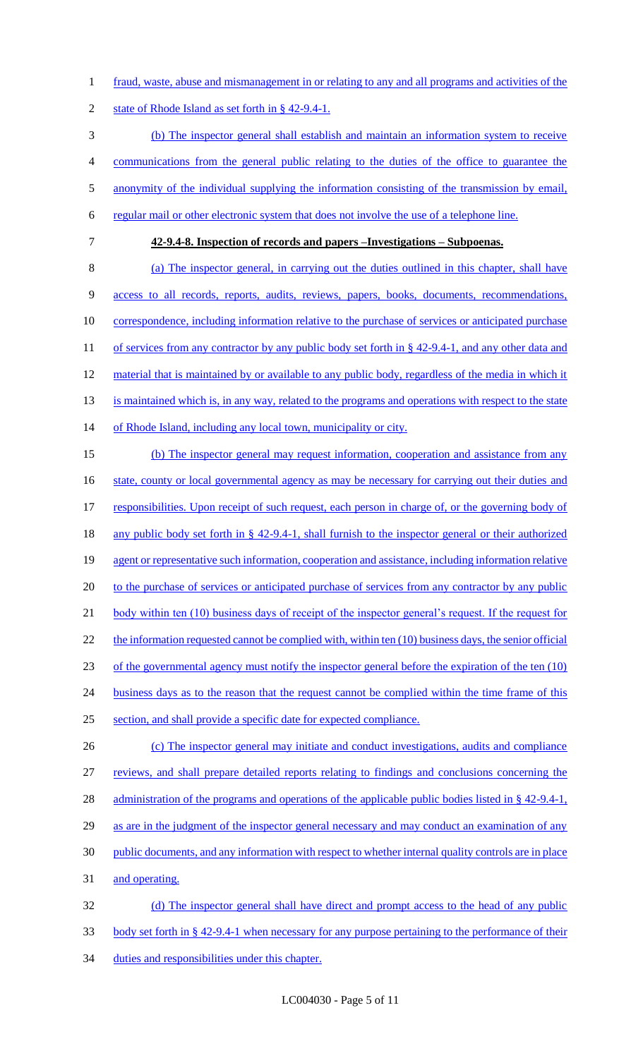1 fraud, waste, abuse and mismanagement in or relating to any and all programs and activities of the

2 state of Rhode Island as set forth in § 42-9.4-1.

 (b) The inspector general shall establish and maintain an information system to receive communications from the general public relating to the duties of the office to guarantee the 5 anonymity of the individual supplying the information consisting of the transmission by email, regular mail or other electronic system that does not involve the use of a telephone line. **42-9.4-8. Inspection of records and papers –Investigations – Subpoenas.** (a) The inspector general, in carrying out the duties outlined in this chapter, shall have access to all records, reports, audits, reviews, papers, books, documents, recommendations, 10 correspondence, including information relative to the purchase of services or anticipated purchase

11 of services from any contractor by any public body set forth in § 42-9.4-1, and any other data and 12 material that is maintained by or available to any public body, regardless of the media in which it 13 is maintained which is, in any way, related to the programs and operations with respect to the state

14 of Rhode Island, including any local town, municipality or city.

15 (b) The inspector general may request information, cooperation and assistance from any 16 state, county or local governmental agency as may be necessary for carrying out their duties and 17 responsibilities. Upon receipt of such request, each person in charge of, or the governing body of 18 any public body set forth in § 42-9.4-1, shall furnish to the inspector general or their authorized 19 agent or representative such information, cooperation and assistance, including information relative 20 to the purchase of services or anticipated purchase of services from any contractor by any public 21 body within ten (10) business days of receipt of the inspector general's request. If the request for 22 the information requested cannot be complied with, within ten (10) business days, the senior official 23 of the governmental agency must notify the inspector general before the expiration of the ten (10) 24 business days as to the reason that the request cannot be complied within the time frame of this 25 section, and shall provide a specific date for expected compliance. 26 (c) The inspector general may initiate and conduct investigations, audits and compliance

 reviews, and shall prepare detailed reports relating to findings and conclusions concerning the 28 administration of the programs and operations of the applicable public bodies listed in § 42-9.4-1, 29 as are in the judgment of the inspector general necessary and may conduct an examination of any public documents, and any information with respect to whether internal quality controls are in place and operating. (d) The inspector general shall have direct and prompt access to the head of any public

33 body set forth in § 42-9.4-1 when necessary for any purpose pertaining to the performance of their 34 duties and responsibilities under this chapter.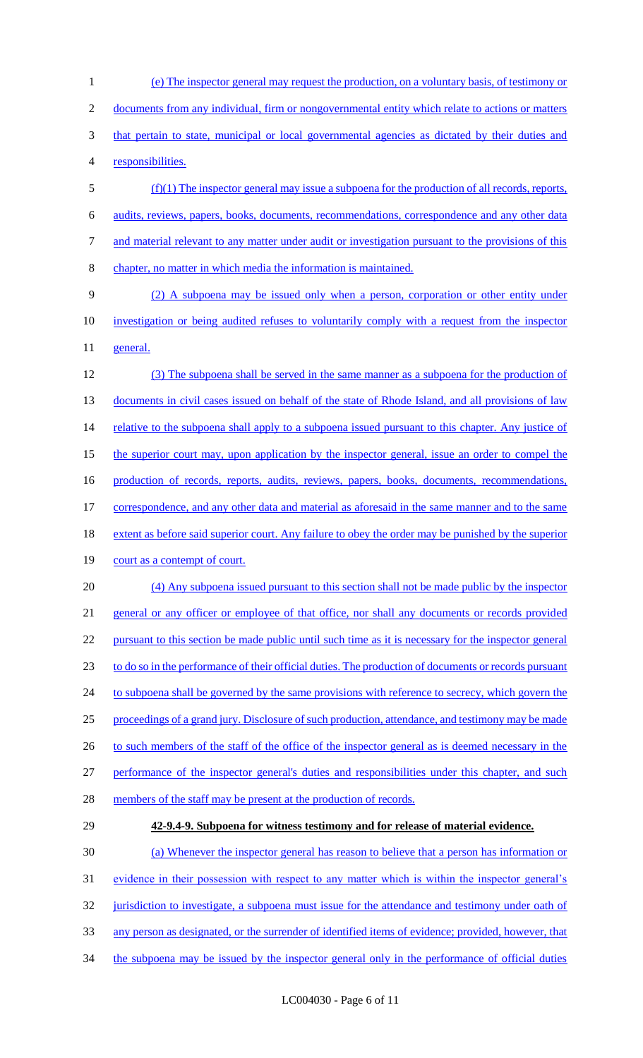(e) The inspector general may request the production, on a voluntary basis, of testimony or documents from any individual, firm or nongovernmental entity which relate to actions or matters 3 that pertain to state, municipal or local governmental agencies as dictated by their duties and responsibilities. (f)(1) The inspector general may issue a subpoena for the production of all records, reports,

6 audits, reviews, papers, books, documents, recommendations, correspondence and any other data 7 and material relevant to any matter under audit or investigation pursuant to the provisions of this

8 chapter, no matter in which media the information is maintained.

9 (2) A subpoena may be issued only when a person, corporation or other entity under 10 investigation or being audited refuses to voluntarily comply with a request from the inspector 11 general.

12 (3) The subpoena shall be served in the same manner as a subpoena for the production of 13 documents in civil cases issued on behalf of the state of Rhode Island, and all provisions of law 14 relative to the subpoena shall apply to a subpoena issued pursuant to this chapter. Any justice of 15 the superior court may, upon application by the inspector general, issue an order to compel the 16 production of records, reports, audits, reviews, papers, books, documents, recommendations, 17 correspondence, and any other data and material as aforesaid in the same manner and to the same 18 extent as before said superior court. Any failure to obey the order may be punished by the superior 19 court as a contempt of court. 20 (4) Any subpoena issued pursuant to this section shall not be made public by the inspector

 general or any officer or employee of that office, nor shall any documents or records provided pursuant to this section be made public until such time as it is necessary for the inspector general to do so in the performance of their official duties. The production of documents or records pursuant 24 to subpoena shall be governed by the same provisions with reference to secrecy, which govern the proceedings of a grand jury. Disclosure of such production, attendance, and testimony may be made 26 to such members of the staff of the office of the inspector general as is deemed necessary in the performance of the inspector general's duties and responsibilities under this chapter, and such

- 28 members of the staff may be present at the production of records.
- 

# 29 **42-9.4-9. Subpoena for witness testimony and for release of material evidence.**

30 (a) Whenever the inspector general has reason to believe that a person has information or 31 evidence in their possession with respect to any matter which is within the inspector general's 32 jurisdiction to investigate, a subpoena must issue for the attendance and testimony under oath of 33 any person as designated, or the surrender of identified items of evidence; provided, however, that

34 the subpoena may be issued by the inspector general only in the performance of official duties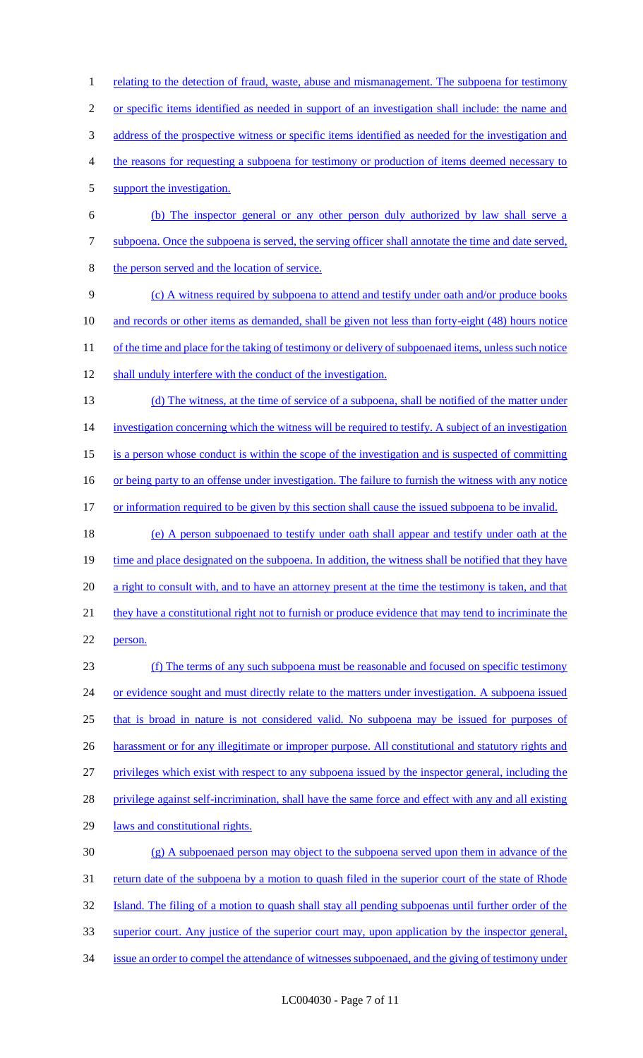2 or specific items identified as needed in support of an investigation shall include: the name and 3 address of the prospective witness or specific items identified as needed for the investigation and 4 the reasons for requesting a subpoena for testimony or production of items deemed necessary to 5 support the investigation. 6 (b) The inspector general or any other person duly authorized by law shall serve a 7 subpoena. Once the subpoena is served, the serving officer shall annotate the time and date served, 8 the person served and the location of service. 9 (c) A witness required by subpoena to attend and testify under oath and/or produce books 10 and records or other items as demanded, shall be given not less than forty-eight (48) hours notice 11 of the time and place for the taking of testimony or delivery of subpoenaed items, unless such notice 12 shall unduly interfere with the conduct of the investigation. 13 (d) The witness, at the time of service of a subpoena, shall be notified of the matter under 14 investigation concerning which the witness will be required to testify. A subject of an investigation 15 is a person whose conduct is within the scope of the investigation and is suspected of committing 16 or being party to an offense under investigation. The failure to furnish the witness with any notice 17 or information required to be given by this section shall cause the issued subpoena to be invalid. 18 (e) A person subpoenaed to testify under oath shall appear and testify under oath at the 19 time and place designated on the subpoena. In addition, the witness shall be notified that they have 20 a right to consult with, and to have an attorney present at the time the testimony is taken, and that 21 they have a constitutional right not to furnish or produce evidence that may tend to incriminate the 22 person. 23 (f) The terms of any such subpoena must be reasonable and focused on specific testimony 24 or evidence sought and must directly relate to the matters under investigation. A subpoena issued 25 that is broad in nature is not considered valid. No subpoena may be issued for purposes of 26 harassment or for any illegitimate or improper purpose. All constitutional and statutory rights and 27 privileges which exist with respect to any subpoena issued by the inspector general, including the 28 privilege against self-incrimination, shall have the same force and effect with any and all existing 29 laws and constitutional rights. 30 (g) A subpoenaed person may object to the subpoena served upon them in advance of the 31 return date of the subpoena by a motion to quash filed in the superior court of the state of Rhode 32 Island. The filing of a motion to quash shall stay all pending subpoenas until further order of the 33 superior court. Any justice of the superior court may, upon application by the inspector general, 34 issue an order to compel the attendance of witnesses subpoenaed, and the giving of testimony under

1 relating to the detection of fraud, waste, abuse and mismanagement. The subpoena for testimony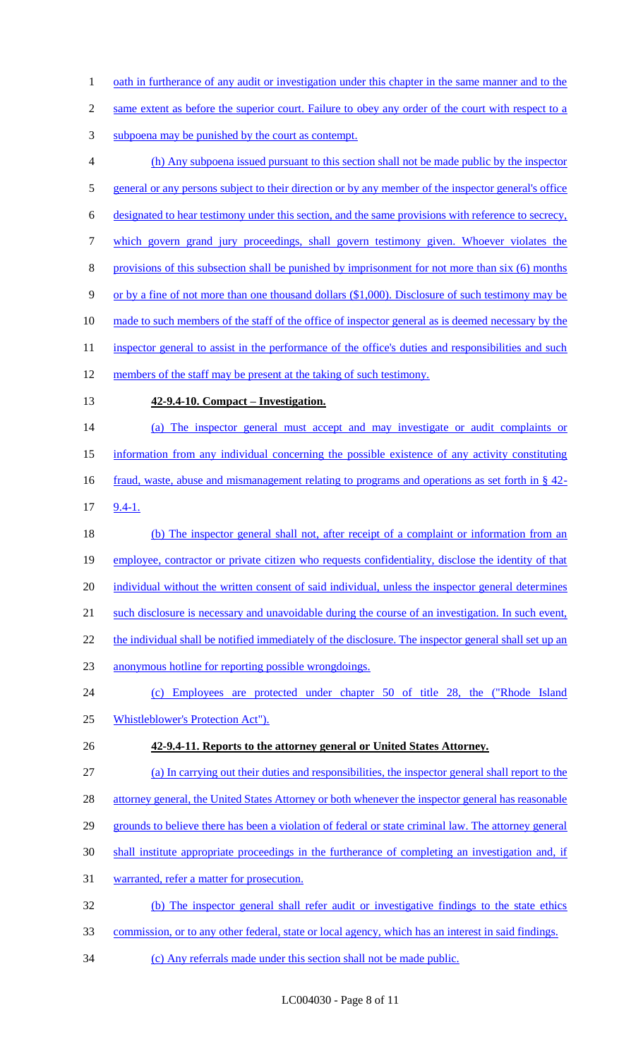- 1 oath in furtherance of any audit or investigation under this chapter in the same manner and to the
- 2 same extent as before the superior court. Failure to obey any order of the court with respect to a
- subpoena may be punished by the court as contempt.
- (h) Any subpoena issued pursuant to this section shall not be made public by the inspector 5 general or any persons subject to their direction or by any member of the inspector general's office designated to hear testimony under this section, and the same provisions with reference to secrecy, which govern grand jury proceedings, shall govern testimony given. Whoever violates the provisions of this subsection shall be punished by imprisonment for not more than six (6) months or by a fine of not more than one thousand dollars (\$1,000). Disclosure of such testimony may be 10 made to such members of the staff of the office of inspector general as is deemed necessary by the 11 inspector general to assist in the performance of the office's duties and responsibilities and such 12 members of the staff may be present at the taking of such testimony. **42-9.4-10. Compact – Investigation.** (a) The inspector general must accept and may investigate or audit complaints or information from any individual concerning the possible existence of any activity constituting 16 fraud, waste, abuse and mismanagement relating to programs and operations as set forth in § 42-9.4-1.
- 18 (b) The inspector general shall not, after receipt of a complaint or information from an employee, contractor or private citizen who requests confidentiality, disclose the identity of that 20 individual without the written consent of said individual, unless the inspector general determines such disclosure is necessary and unavoidable during the course of an investigation. In such event, 22 the individual shall be notified immediately of the disclosure. The inspector general shall set up an
- anonymous hotline for reporting possible wrongdoings.
- (c) Employees are protected under chapter 50 of title 28, the ("Rhode Island Whistleblower's Protection Act").
- **42-9.4-11. Reports to the attorney general or United States Attorney.**
- (a) In carrying out their duties and responsibilities, the inspector general shall report to the
- 28 attorney general, the United States Attorney or both whenever the inspector general has reasonable
- grounds to believe there has been a violation of federal or state criminal law. The attorney general
- shall institute appropriate proceedings in the furtherance of completing an investigation and, if
- warranted, refer a matter for prosecution.
- (b) The inspector general shall refer audit or investigative findings to the state ethics
- commission, or to any other federal, state or local agency, which has an interest in said findings.
- (c) Any referrals made under this section shall not be made public.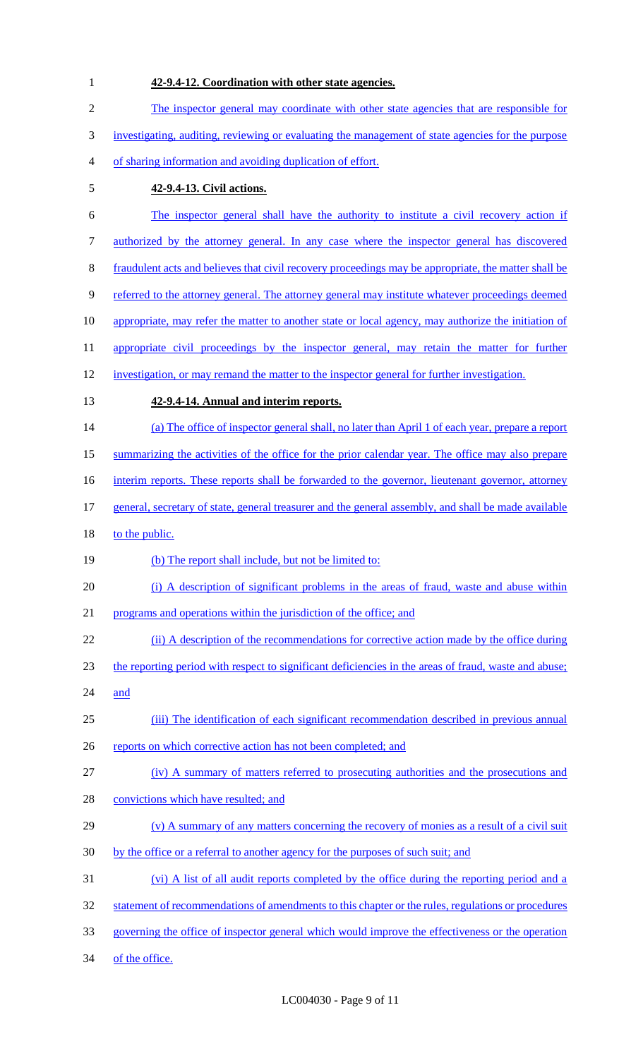**42-9.4-12. Coordination with other state agencies.** The inspector general may coordinate with other state agencies that are responsible for investigating, auditing, reviewing or evaluating the management of state agencies for the purpose of sharing information and avoiding duplication of effort. **42-9.4-13. Civil actions.** The inspector general shall have the authority to institute a civil recovery action if authorized by the attorney general. In any case where the inspector general has discovered fraudulent acts and believes that civil recovery proceedings may be appropriate, the matter shall be referred to the attorney general. The attorney general may institute whatever proceedings deemed 10 appropriate, may refer the matter to another state or local agency, may authorize the initiation of 11 appropriate civil proceedings by the inspector general, may retain the matter for further investigation, or may remand the matter to the inspector general for further investigation. **42-9.4-14. Annual and interim reports.** 14 (a) The office of inspector general shall, no later than April 1 of each year, prepare a report summarizing the activities of the office for the prior calendar year. The office may also prepare 16 interim reports. These reports shall be forwarded to the governor, lieutenant governor, attorney general, secretary of state, general treasurer and the general assembly, and shall be made available 18 to the public. (b) The report shall include, but not be limited to: (i) A description of significant problems in the areas of fraud, waste and abuse within programs and operations within the jurisdiction of the office; and 22 (ii) A description of the recommendations for corrective action made by the office during the reporting period with respect to significant deficiencies in the areas of fraud, waste and abuse; and (iii) The identification of each significant recommendation described in previous annual 26 reports on which corrective action has not been completed; and (iv) A summary of matters referred to prosecuting authorities and the prosecutions and 28 convictions which have resulted; and (v) A summary of any matters concerning the recovery of monies as a result of a civil suit 30 by the office or a referral to another agency for the purposes of such suit; and (vi) A list of all audit reports completed by the office during the reporting period and a 32 statement of recommendations of amendments to this chapter or the rules, regulations or procedures governing the office of inspector general which would improve the effectiveness or the operation 34 of the office.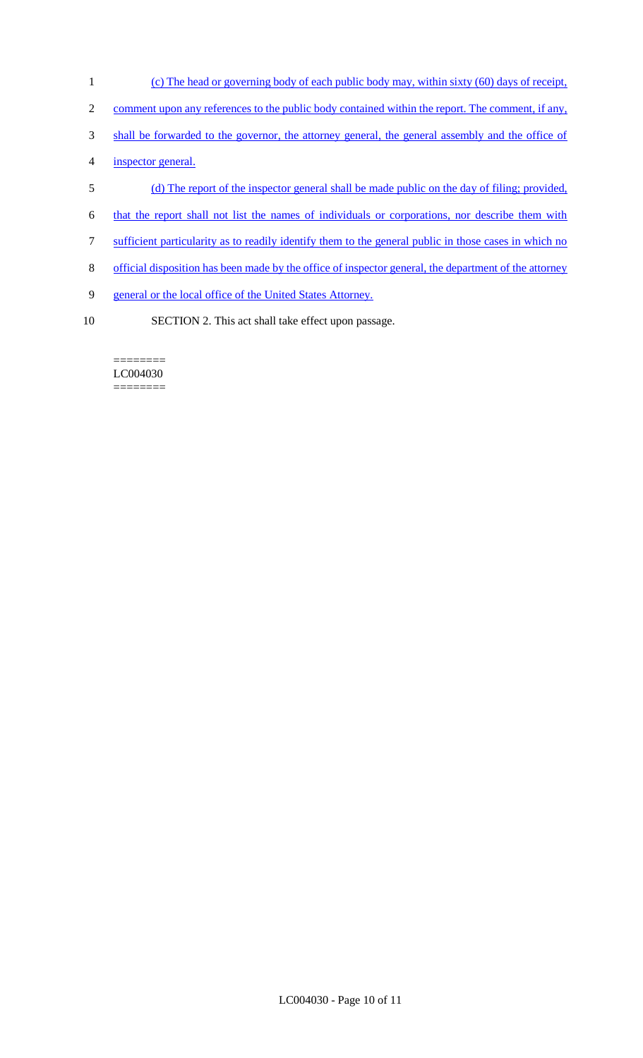- 1 (c) The head or governing body of each public body may, within sixty (60) days of receipt,
- 2 comment upon any references to the public body contained within the report. The comment, if any,
- 3 shall be forwarded to the governor, the attorney general, the general assembly and the office of
- 4 inspector general.
- 5 (d) The report of the inspector general shall be made public on the day of filing; provided,
- 6 that the report shall not list the names of individuals or corporations, nor describe them with
- 7 sufficient particularity as to readily identify them to the general public in those cases in which no
- 8 official disposition has been made by the office of inspector general, the department of the attorney
- 9 general or the local office of the United States Attorney.
- 10 SECTION 2. This act shall take effect upon passage.

======== LC004030 ========